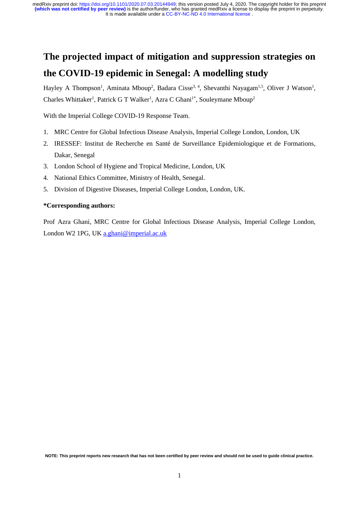# **The projected impact of mitigation and suppression strategies on the COVID-19 epidemic in Senegal: A modelling study**

Hayley A Thompson<sup>1</sup>, Aminata Mboup<sup>2</sup>, Badara Cisse<sup>3, 4</sup>, Shevanthi Nayagam<sup>1,5</sup>, Oliver J Watson<sup>1</sup>, Charles Whittaker<sup>1</sup>, Patrick G T Walker<sup>1</sup>, Azra C Ghani<sup>1\*</sup>, Souleymane Mboup<sup>2</sup>

With the Imperial College COVID-19 Response Team.

- 1. MRC Centre for Global Infectious Disease Analysis, Imperial College London, London, UK
- 2. IRESSEF: Institut de Recherche en Santé de Surveillance Epidemiologique et de Formations, Dakar, Senegal
- 3. London School of Hygiene and Tropical Medicine, London, UK
- 4. National Ethics Committee, Ministry of Health, Senegal.
- 5. Division of Digestive Diseases, Imperial College London, London, UK.

### **\*Corresponding authors:**

Prof Azra Ghani, MRC Centre for Global Infectious Disease Analysis, Imperial College London, London W2 1PG, UK [a.ghani@imperial.ac.uk](mailto:a.ghani@imperial.ac.uk)

**NOTE: This preprint reports new research that has not been certified by peer review and should not be used to guide clinical practice.**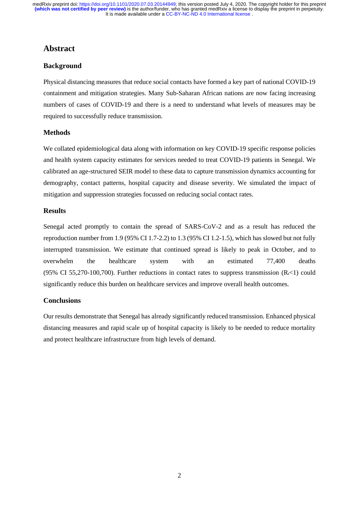### **Abstract**

### **Background**

Physical distancing measures that reduce social contacts have formed a key part of national COVID-19 containment and mitigation strategies. Many Sub-Saharan African nations are now facing increasing numbers of cases of COVID-19 and there is a need to understand what levels of measures may be required to successfully reduce transmission.

### **Methods**

We collated epidemiological data along with information on key COVID-19 specific response policies and health system capacity estimates for services needed to treat COVID-19 patients in Senegal. We calibrated an age-structured SEIR model to these data to capture transmission dynamics accounting for demography, contact patterns, hospital capacity and disease severity. We simulated the impact of mitigation and suppression strategies focussed on reducing social contact rates.

### **Results**

Senegal acted promptly to contain the spread of SARS-CoV-2 and as a result has reduced the reproduction number from 1.9 (95% CI 1.7-2.2) to 1.3 (95% CI 1.2-1.5), which has slowed but not fully interrupted transmission. We estimate that continued spread is likely to peak in October, and to overwhelm the healthcare system with an estimated 77,400 deaths (95% CI 55,270-100,700). Further reductions in contact rates to suppress transmission  $(R_1 < 1)$  could significantly reduce this burden on healthcare services and improve overall health outcomes.

### **Conclusions**

Our results demonstrate that Senegal has already significantly reduced transmission. Enhanced physical distancing measures and rapid scale up of hospital capacity is likely to be needed to reduce mortality and protect healthcare infrastructure from high levels of demand.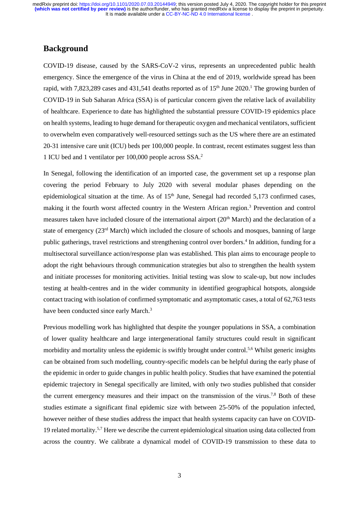### **Background**

COVID-19 disease, caused by the SARS-CoV-2 virus, represents an unprecedented public health emergency. Since the emergence of the virus in China at the end of 2019, worldwide spread has been rapid, with 7,823,289 cases and 431,541 deaths reported as of 15<sup>th</sup> June 2020.<sup>1</sup> The growing burden of COVID-19 in Sub Saharan Africa (SSA) is of particular concern given the relative lack of availability of healthcare. Experience to date has highlighted the substantial pressure COVID-19 epidemics place on health systems, leading to huge demand for therapeutic oxygen and mechanical ventilators, sufficient to overwhelm even comparatively well-resourced settings such as the US where there are an estimated 20-31 intensive care unit (ICU) beds per 100,000 people. In contrast, recent estimates suggest less than 1 ICU bed and 1 ventilator per 100,000 people across SSA. 2

In Senegal, following the identification of an imported case, the government set up a response plan covering the period February to July 2020 with several modular phases depending on the epidemiological situation at the time. As of 15<sup>th</sup> June, Senegal had recorded 5,173 confirmed cases, making it the fourth worst affected country in the Western African region.<sup>3</sup> Prevention and control measures taken have included closure of the international airport (20<sup>th</sup> March) and the declaration of a state of emergency (23<sup>rd</sup> March) which included the closure of schools and mosques, banning of large public gatherings, travel restrictions and strengthening control over borders.<sup>4</sup> In addition, funding for a multisectoral surveillance action/response plan was established. This plan aims to encourage people to adopt the right behaviours through communication strategies but also to strengthen the health system and initiate processes for monitoring activities. Initial testing was slow to scale-up, but now includes testing at health-centres and in the wider community in identified geographical hotspots, alongside contact tracing with isolation of confirmed symptomatic and asymptomatic cases, a total of 62,763 tests have been conducted since early March.<sup>3</sup>

Previous modelling work has highlighted that despite the younger populations in SSA, a combination of lower quality healthcare and large intergenerational family structures could result in significant morbidity and mortality unless the epidemic is swiftly brought under control.<sup>5,6</sup> Whilst generic insights can be obtained from such modelling, country-specific models can be helpful during the early phase of the epidemic in order to guide changes in public health policy. Studies that have examined the potential epidemic trajectory in Senegal specifically are limited, with only two studies published that consider the current emergency measures and their impact on the transmission of the virus.<sup>7,8</sup> Both of these studies estimate a significant final epidemic size with between 25-50% of the population infected, however neither of these studies address the impact that health systems capacity can have on COVID-19 related mortality.5,7 Here we describe the current epidemiological situation using data collected from across the country. We calibrate a dynamical model of COVID-19 transmission to these data to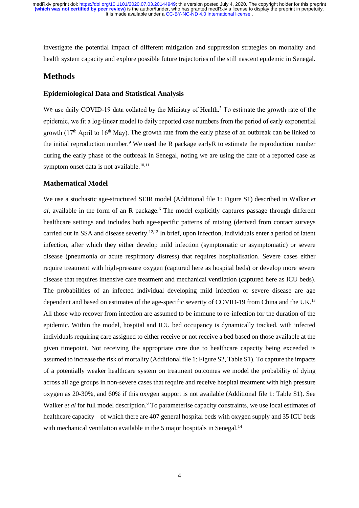investigate the potential impact of different mitigation and suppression strategies on mortality and health system capacity and explore possible future trajectories of the still nascent epidemic in Senegal.

### **Methods**

### **Epidemiological Data and Statistical Analysis**

We use daily COVID-19 data collated by the Ministry of Health.<sup>3</sup> To estimate the growth rate of the epidemic, we fit a log-linear model to daily reported case numbers from the period of early exponential growth  $(17<sup>th</sup>$  April to  $16<sup>th</sup>$  May). The growth rate from the early phase of an outbreak can be linked to the initial reproduction number.<sup>9</sup> We used the R package early R to estimate the reproduction number during the early phase of the outbreak in Senegal, noting we are using the date of a reported case as symptom onset data is not available.<sup>10,11</sup>

### **Mathematical Model**

We use a stochastic age-structured SEIR model (Additional file 1: Figure S1) described in Walker *et al,* available in the form of an R package. <sup>6</sup> The model explicitly captures passage through different healthcare settings and includes both age-specific patterns of mixing (derived from contact surveys carried out in SSA and disease severity.<sup>12,13</sup> In brief, upon infection, individuals enter a period of latent infection, after which they either develop mild infection (symptomatic or asymptomatic) or severe disease (pneumonia or acute respiratory distress) that requires hospitalisation. Severe cases either require treatment with high-pressure oxygen (captured here as hospital beds) or develop more severe disease that requires intensive care treatment and mechanical ventilation (captured here as ICU beds). The probabilities of an infected individual developing mild infection or severe disease are age dependent and based on estimates of the age-specific severity of COVID-19 from China and the UK.<sup>13</sup> All those who recover from infection are assumed to be immune to re-infection for the duration of the epidemic. Within the model, hospital and ICU bed occupancy is dynamically tracked, with infected individuals requiring care assigned to either receive or not receive a bed based on those available at the given timepoint. Not receiving the appropriate care due to healthcare capacity being exceeded is assumed to increase the risk of mortality (Additional file 1: Figure S2, Table S1). To capture the impacts of a potentially weaker healthcare system on treatment outcomes we model the probability of dying across all age groups in non-severe cases that require and receive hospital treatment with high pressure oxygen as 20-30%, and 60% if this oxygen support is not available (Additional file 1: Table S1). See Walker *et al* for full model description. <sup>6</sup> To parameterise capacity constraints, we use local estimates of healthcare capacity – of which there are 407 general hospital beds with oxygen supply and 35 ICU beds with mechanical ventilation available in the 5 major hospitals in Senegal.<sup>14</sup>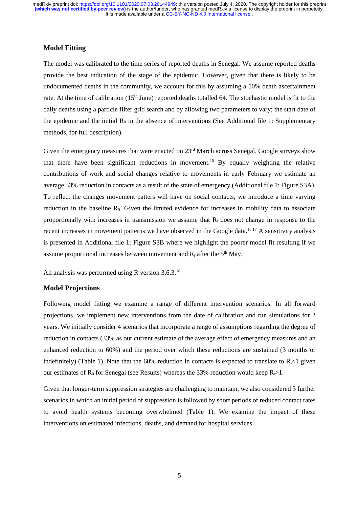### **Model Fitting**

The model was calibrated to the time series of reported deaths in Senegal. We assume reported deaths provide the best indication of the stage of the epidemic. However, given that there is likely to be undocumented deaths in the community, we account for this by assuming a 50% death ascertainment rate. At the time of calibration (15<sup>th</sup> June) reported deaths totalled 64. The stochastic model is fit to the daily deaths using a particle filter grid search and by allowing two parameters to vary; the start date of the epidemic and the initial  $R_0$  in the absence of interventions (See Additional file 1: Supplementary methods, for full description).

Given the emergency measures that were enacted on 23<sup>rd</sup> March across Senegal, Google surveys show that there have been significant reductions in movement. <sup>15</sup> By equally weighting the relative contributions of work and social changes relative to movements in early February we estimate an average 33% reduction in contacts as a result of the state of emergency (Additional file 1: Figure S3A). To reflect the changes movement patters will have on social contacts, we introduce a time varying reduction in the baseline  $R_0$ . Given the limited evidence for increases in mobility data to associate proportionally with increases in transmission we assume that  $R<sub>t</sub>$  does not change in response to the recent increases in movement patterns we have observed in the Google data.<sup>16,17</sup> A sensitivity analysis is presented in Additional file 1: Figure S3B where we highlight the poorer model fit resulting if we assume proportional increases between movement and  $R_t$  after the  $5<sup>th</sup>$  May.

All analysis was performed using R version 3.6.3.<sup>18</sup>

### **Model Projections**

Following model fitting we examine a range of different intervention scenarios. In all forward projections, we implement new interventions from the date of calibration and run simulations for 2 years. We initially consider 4 scenarios that incorporate a range of assumptions regarding the degree of reduction in contacts (33% as our current estimate of the average effect of emergency measures and an enhanced reduction to 60%) and the period over which these reductions are sustained (3 months or indefinitely) (Table 1). Note that the 60% reduction in contacts is expected to translate to  $R_{\rm r}$  given our estimates of  $R_0$  for Senegal (see Results) whereas the 33% reduction would keep  $R_1 > 1$ .

Given that longer-term suppression strategies are challenging to maintain, we also considered 3 further scenarios in which an initial period of suppression is followed by short periods of reduced contact rates to avoid health systems becoming overwhelmed (Table 1). We examine the impact of these interventions on estimated infections, deaths, and demand for hospital services.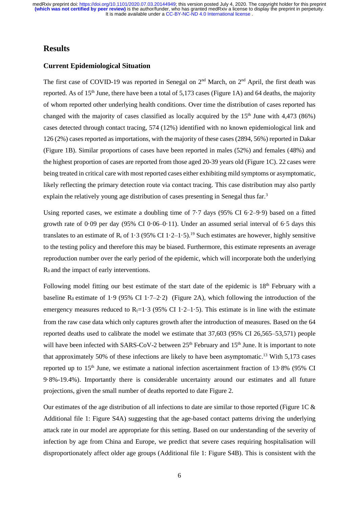### **Results**

### **Current Epidemiological Situation**

The first case of COVID-19 was reported in Senegal on 2<sup>nd</sup> March, on 2<sup>nd</sup> April, the first death was reported. As of  $15<sup>th</sup>$  June, there have been a total of 5,173 cases (Figure 1A) and 64 deaths, the majority of whom reported other underlying health conditions. Over time the distribution of cases reported has changed with the majority of cases classified as locally acquired by the  $15<sup>th</sup>$  June with 4,473 (86%) cases detected through contact tracing, 574 (12%) identified with no known epidemiological link and 126 (2%) cases reported as importations, with the majority of these cases (2894, 56%) reported in Dakar (Figure 1B). Similar proportions of cases have been reported in males (52%) and females (48%) and the highest proportion of cases are reported from those aged 20-39 years old (Figure 1C). 22 cases were being treated in critical care with most reported cases either exhibiting mild symptoms or asymptomatic, likely reflecting the primary detection route via contact tracing. This case distribution may also partly explain the relatively young age distribution of cases presenting in Senegal thus far.<sup>3</sup>

Using reported cases, we estimate a doubling time of 7·7 days (95% CI 6·2–9·9) based on a fitted growth rate of 0·09 per day (95% CI 0·06–0·11). Under an assumed serial interval of 6·5 days this translates to an estimate of  $R_t$  of 1.3 (95% CI 1.2–1.5).<sup>19</sup> Such estimates are however, highly sensitive to the testing policy and therefore this may be biased. Furthermore, this estimate represents an average reproduction number over the early period of the epidemic, which will incorporate both the underlying  $R_0$  and the impact of early interventions.

Following model fitting our best estimate of the start date of the epidemic is  $18<sup>th</sup>$  February with a baseline R<sub>0</sub> estimate of 1·9 (95% CI 1·7-2·2) (Figure 2A), which following the introduction of the emergency measures reduced to  $R_t=1.3$  (95% CI 1.2–1.5). This estimate is in line with the estimate from the raw case data which only captures growth after the introduction of measures. Based on the 64 reported deaths used to calibrate the model we estimate that 37,603 (95% CI 26,565–53,571) people will have been infected with SARS-CoV-2 between  $25<sup>th</sup>$  February and  $15<sup>th</sup>$  June. It is important to note that approximately 50% of these infections are likely to have been asymptomatic. <sup>13</sup> With 5,173 cases reported up to 15<sup>th</sup> June, we estimate a national infection ascertainment fraction of 13.8% (95% CI 9·8%-19.4%). Importantly there is considerable uncertainty around our estimates and all future projections, given the small number of deaths reported to date Figure 2.

Our estimates of the age distribution of all infections to date are similar to those reported (Figure 1C & Additional file 1: Figure S4A) suggesting that the age-based contact patterns driving the underlying attack rate in our model are appropriate for this setting. Based on our understanding of the severity of infection by age from China and Europe, we predict that severe cases requiring hospitalisation will disproportionately affect older age groups (Additional file 1: Figure S4B). This is consistent with the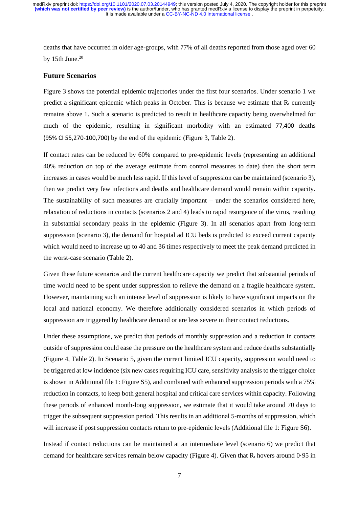deaths that have occurred in older age-groups, with 77% of all deaths reported from those aged over 60 by 15th June. 20

#### **Future Scenarios**

Figure 3 shows the potential epidemic trajectories under the first four scenarios. Under scenario 1 we predict a significant epidemic which peaks in October. This is because we estimate that  $R_t$  currently remains above 1. Such a scenario is predicted to result in healthcare capacity being overwhelmed for much of the epidemic, resulting in significant morbidity with an estimated 77,400 deaths (95% CI 55,270-100,700) by the end of the epidemic (Figure 3, Table 2).

If contact rates can be reduced by 60% compared to pre-epidemic levels (representing an additional 40% reduction on top of the average estimate from control measures to date) then the short term increases in cases would be much less rapid. If this level of suppression can be maintained (scenario 3), then we predict very few infections and deaths and healthcare demand would remain within capacity. The sustainability of such measures are crucially important – under the scenarios considered here, relaxation of reductions in contacts (scenarios 2 and 4) leads to rapid resurgence of the virus, resulting in substantial secondary peaks in the epidemic (Figure 3). In all scenarios apart from long-term suppression (scenario 3), the demand for hospital ad ICU beds is predicted to exceed current capacity which would need to increase up to 40 and 36 times respectively to meet the peak demand predicted in the worst-case scenario (Table 2).

Given these future scenarios and the current healthcare capacity we predict that substantial periods of time would need to be spent under suppression to relieve the demand on a fragile healthcare system. However, maintaining such an intense level of suppression is likely to have significant impacts on the local and national economy. We therefore additionally considered scenarios in which periods of suppression are triggered by healthcare demand or are less severe in their contact reductions.

Under these assumptions, we predict that periods of monthly suppression and a reduction in contacts outside of suppression could ease the pressure on the healthcare system and reduce deaths substantially (Figure 4, Table 2). In Scenario 5, given the current limited ICU capacity, suppression would need to be triggered at low incidence (six new cases requiring ICU care, sensitivity analysis to the trigger choice is shown in Additional file 1: Figure S5), and combined with enhanced suppression periods with a 75% reduction in contacts, to keep both general hospital and critical care services within capacity. Following these periods of enhanced month-long suppression, we estimate that it would take around 70 days to trigger the subsequent suppression period. This results in an additional 5-months of suppression, which will increase if post suppression contacts return to pre-epidemic levels (Additional file 1: Figure S6).

Instead if contact reductions can be maintained at an intermediate level (scenario 6) we predict that demand for healthcare services remain below capacity (Figure 4). Given that  $R_t$  hovers around 0.95 in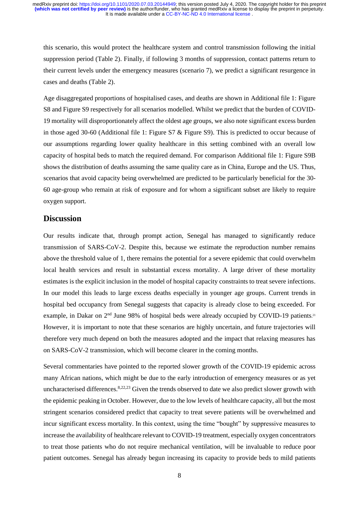this scenario, this would protect the healthcare system and control transmission following the initial suppression period (Table 2). Finally, if following 3 months of suppression, contact patterns return to their current levels under the emergency measures (scenario 7), we predict a significant resurgence in cases and deaths (Table 2).

Age disaggregated proportions of hospitalised cases, and deaths are shown in Additional file 1: Figure S8 and Figure S9 respectively for all scenarios modelled. Whilst we predict that the burden of COVID-19 mortality will disproportionately affect the oldest age groups, we also note significant excess burden in those aged 30-60 (Additional file 1: Figure S7 & Figure S9). This is predicted to occur because of our assumptions regarding lower quality healthcare in this setting combined with an overall low capacity of hospital beds to match the required demand. For comparison Additional file 1: Figure S9B shows the distribution of deaths assuming the same quality care as in China, Europe and the US. Thus, scenarios that avoid capacity being overwhelmed are predicted to be particularly beneficial for the 30- 60 age-group who remain at risk of exposure and for whom a significant subset are likely to require oxygen support.

### **Discussion**

Our results indicate that, through prompt action, Senegal has managed to significantly reduce transmission of SARS-CoV-2. Despite this, because we estimate the reproduction number remains above the threshold value of 1, there remains the potential for a severe epidemic that could overwhelm local health services and result in substantial excess mortality. A large driver of these mortality estimates is the explicit inclusion in the model of hospital capacity constraints to treat severe infections. In our model this leads to large excess deaths especially in younger age groups. Current trends in hospital bed occupancy from Senegal suggests that capacity is already close to being exceeded. For example, in Dakar on 2<sup>nd</sup> June 98% of hospital beds were already occupied by COVID-19 patients.<sup>21</sup> However, it is important to note that these scenarios are highly uncertain, and future trajectories will therefore very much depend on both the measures adopted and the impact that relaxing measures has on SARS-CoV-2 transmission, which will become clearer in the coming months.

Several commentaries have pointed to the reported slower growth of the COVID-19 epidemic across many African nations, which might be due to the early introduction of emergency measures or as yet uncharacterised differences.<sup>8,22,23</sup> Given the trends observed to date we also predict slower growth with the epidemic peaking in October. However, due to the low levels of healthcare capacity, all but the most stringent scenarios considered predict that capacity to treat severe patients will be overwhelmed and incur significant excess mortality. In this context, using the time "bought" by suppressive measures to increase the availability of healthcare relevant to COVID-19 treatment, especially oxygen concentrators to treat those patients who do not require mechanical ventilation, will be invaluable to reduce poor patient outcomes. Senegal has already begun increasing its capacity to provide beds to mild patients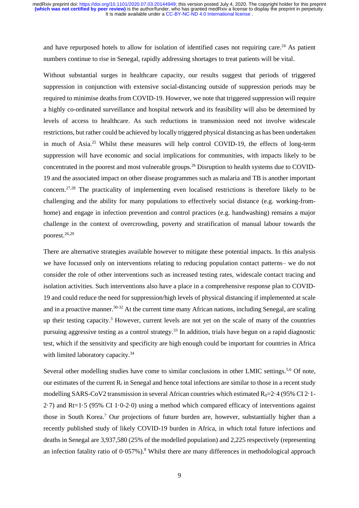and have repurposed hotels to allow for isolation of identified cases not requiring care.<sup>24</sup> As patient numbers continue to rise in Senegal, rapidly addressing shortages to treat patients will be vital.

Without substantial surges in healthcare capacity, our results suggest that periods of triggered suppression in conjunction with extensive social-distancing outside of suppression periods may be required to minimise deaths from COVID-19. However, we note that triggered suppression will require a highly co-ordinated surveillance and hospital network and its feasibility will also be determined by levels of access to healthcare. As such reductions in transmission need not involve widescale restrictions, but rather could be achieved by locally triggered physical distancing as has been undertaken in much of Asia.<sup>25</sup> Whilst these measures will help control COVID-19, the effects of long-term suppression will have economic and social implications for communities, with impacts likely to be concentrated in the poorest and most vulnerable groups. <sup>26</sup> Disruption to health systems due to COVID-19 and the associated impact on other disease programmes such as malaria and TB is another important concern. 27,28 The practicality of implementing even localised restrictions is therefore likely to be challenging and the ability for many populations to effectively social distance (e.g. working-fromhome) and engage in infection prevention and control practices (e.g. handwashing) remains a major challenge in the context of overcrowding, poverty and stratification of manual labour towards the poorest. 26,29

There are alternative strategies available however to mitigate these potential impacts. In this analysis we have focussed only on interventions relating to reducing population contact patterns– we do not consider the role of other interventions such as increased testing rates, widescale contact tracing and isolation activities. Such interventions also have a place in a comprehensive response plan to COVID-19 and could reduce the need for suppression/high levels of physical distancing if implemented at scale and in a proactive manner.<sup>30-32</sup> At the current time many African nations, including Senegal, are scaling up their testing capacity.<sup>3</sup> However, current levels are not yet on the scale of many of the countries pursuing aggressive testing as a control strategy.<sup>33</sup> In addition, trials have begun on a rapid diagnostic test, which if the sensitivity and specificity are high enough could be important for countries in Africa with limited laboratory capacity.<sup>34</sup>

Several other modelling studies have come to similar conclusions in other LMIC settings.<sup>5,6</sup> Of note, our estimates of the current  $R_t$  in Senegal and hence total infections are similar to those in a recent study modelling SARS-CoV2 transmission in several African countries which estimated  $R_0$ =2·4 (95% CI 2·1-2·7) and Rt=1·5 (95% CI 1·0-2·0) using a method which compared efficacy of interventions against those in South Korea. <sup>7</sup> Our projections of future burden are, however, substantially higher than a recently published study of likely COVID-19 burden in Africa, in which total future infections and deaths in Senegal are 3,937,580 (25% of the modelled population) and 2,225 respectively (representing an infection fatality ratio of 0.057%).<sup>8</sup> Whilst there are many differences in methodological approach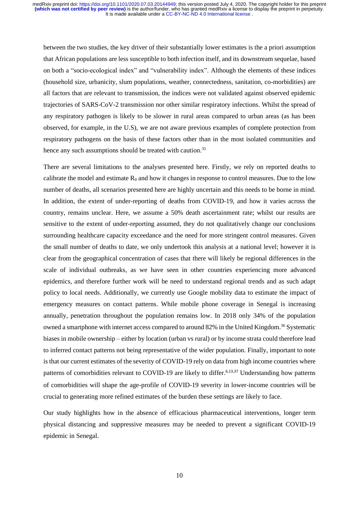between the two studies, the key driver of their substantially lower estimates is the a priori assumption that African populations are less susceptible to both infection itself, and its downstream sequelae, based on both a "socio-ecological index" and "vulnerability index". Although the elements of these indices (household size, urbanicity, slum populations, weather, connectedness, sanitation, co-morbidities) are all factors that are relevant to transmission, the indices were not validated against observed epidemic trajectories of SARS-CoV-2 transmission nor other similar respiratory infections. Whilst the spread of any respiratory pathogen is likely to be slower in rural areas compared to urban areas (as has been observed, for example, in the U.S), we are not aware previous examples of complete protection from respiratory pathogens on the basis of these factors other than in the most isolated communities and hence any such assumptions should be treated with caution.<sup>35</sup>

There are several limitations to the analyses presented here. Firstly, we rely on reported deaths to calibrate the model and estimate  $R_0$  and how it changes in response to control measures. Due to the low number of deaths, all scenarios presented here are highly uncertain and this needs to be borne in mind. In addition, the extent of under-reporting of deaths from COVID-19, and how it varies across the country, remains unclear. Here, we assume a 50% death ascertainment rate; whilst our results are sensitive to the extent of under-reporting assumed, they do not qualitatively change our conclusions surrounding healthcare capacity exceedance and the need for more stringent control measures. Given the small number of deaths to date, we only undertook this analysis at a national level; however it is clear from the geographical concentration of cases that there will likely be regional differences in the scale of individual outbreaks, as we have seen in other countries experiencing more advanced epidemics, and therefore further work will be need to understand regional trends and as such adapt policy to local needs. Additionally, we currently use Google mobility data to estimate the impact of emergency measures on contact patterns. While mobile phone coverage in Senegal is increasing annually, penetration throughout the population remains low. In 2018 only 34% of the population owned a smartphone with internet access compared to around 82% in the United Kingdom.<sup>36</sup> Systematic biases in mobile ownership – either by location (urban vs rural) or by income strata could therefore lead to inferred contact patterns not being representative of the wider population. Finally, important to note is that our current estimates of the severity of COVID-19 rely on data from high income countries where patterns of comorbidities relevant to COVID-19 are likely to differ.<sup>6,13,37</sup> Understanding how patterns of comorbidities will shape the age-profile of COVID-19 severity in lower-income countries will be crucial to generating more refined estimates of the burden these settings are likely to face.

Our study highlights how in the absence of efficacious pharmaceutical interventions, longer term physical distancing and suppressive measures may be needed to prevent a significant COVID-19 epidemic in Senegal.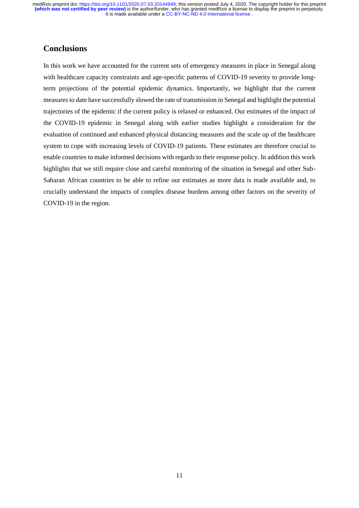### **Conclusions**

In this work we have accounted for the current sets of emergency measures in place in Senegal along with healthcare capacity constraints and age-specific patterns of COVID-19 severity to provide longterm projections of the potential epidemic dynamics. Importantly, we highlight that the current measures to date have successfully slowed the rate of transmission in Senegal and highlight the potential trajectories of the epidemic if the current policy is relaxed or enhanced. Our estimates of the impact of the COVID-19 epidemic in Senegal along with earlier studies highlight a consideration for the evaluation of continued and enhanced physical distancing measures and the scale up of the healthcare system to cope with increasing levels of COVID-19 patients. These estimates are therefore crucial to enable countries to make informed decisions with regards to their response policy. In addition this work highlights that we still require close and careful monitoring of the situation in Senegal and other Sub-Saharan African countries to be able to refine our estimates as more data is made available and, to crucially understand the impacts of complex disease burdens among other factors on the severity of COVID-19 in the region.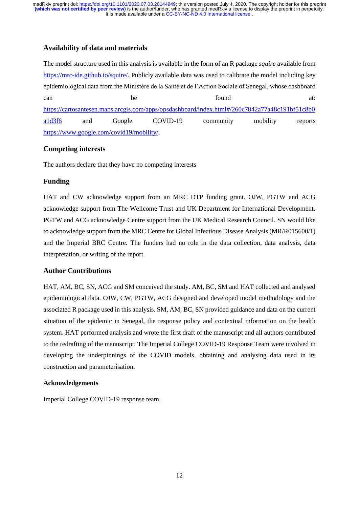### **Availability of data and materials**

The model structure used in this analysis is available in the form of an R package *squire* available from [https://mrc-ide.github.io/squire/.](https://mrc-ide.github.io/squire/) Publicly available data was used to calibrate the model including key epidemiological data from the Ministère de la Santé et de l'Action Sociale of Senegal, whose dashboard can be found at: [https://cartosantesen.maps.arcgis.com/apps/opsdashboard/index.html#/260c7842a77a48c191bf51c8b0](https://cartosantesen.maps.arcgis.com/apps/opsdashboard/index.html#/260c7842a77a48c191bf51c8b0a1d3f6) [a1d3f6](https://cartosantesen.maps.arcgis.com/apps/opsdashboard/index.html#/260c7842a77a48c191bf51c8b0a1d3f6) and Google COVID-19 community mobility reports [https://www.google.com/covid19/mobility/.](https://www.google.com/covid19/mobility/)

### **Competing interests**

The authors declare that they have no competing interests

### **Funding**

HAT and CW acknowledge support from an MRC DTP funding grant. OJW, PGTW and ACG acknowledge support from The Wellcome Trust and UK Department for International Development. PGTW and ACG acknowledge Centre support from the UK Medical Research Council. SN would like to acknowledge support from the MRC Centre for Global Infectious Disease Analysis (MR/R015600/1) and the Imperial BRC Centre. The funders had no role in the data collection, data analysis, data interpretation, or writing of the report.

### **Author Contributions**

HAT, AM, BC, SN, ACG and SM conceived the study. AM, BC, SM and HAT collected and analysed epidemiological data. OJW, CW, PGTW, ACG designed and developed model methodology and the associated R package used in this analysis. SM, AM, BC, SN provided guidance and data on the current situation of the epidemic in Senegal, the response policy and contextual information on the health system. HAT performed analysis and wrote the first draft of the manuscript and all authors contributed to the redrafting of the manuscript. The Imperial College COVID-19 Response Team were involved in developing the underpinnings of the COVID models, obtaining and analysing data used in its construction and parameterisation.

#### **Acknowledgements**

Imperial College COVID-19 response team.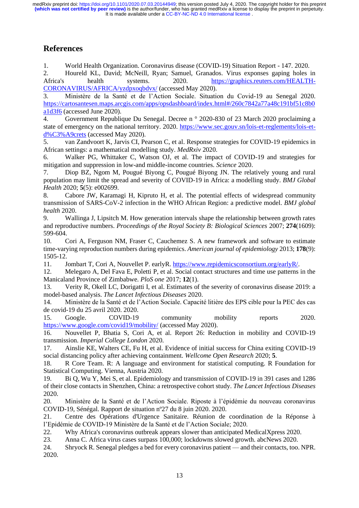## **References**

1. World Health Organization. Coronavirus disease (COVID-19) Situation Report - 147. 2020.

2. Houreld KL, David; McNeill, Ryan; Samuel, Granados. Virus exponses gaping holes in Africa's health systems. 2020. [https://graphics.reuters.com/HEALTH-](https://graphics.reuters.com/HEALTH-CORONAVIRUS/AFRICA/yzdpxoqbdvx/)[CORONAVIRUS/AFRICA/yzdpxoqbdvx/](https://graphics.reuters.com/HEALTH-CORONAVIRUS/AFRICA/yzdpxoqbdvx/) (accessed May 2020).

3. Ministère de la Santé et de l'Action Sociale. Situation du Covid-19 au Senegal 2020. [https://cartosantesen.maps.arcgis.com/apps/opsdashboard/index.html#/260c7842a77a48c191bf51c8b0](https://cartosantesen.maps.arcgis.com/apps/opsdashboard/index.html#/260c7842a77a48c191bf51c8b0a1d3f6) [a1d3f6](https://cartosantesen.maps.arcgis.com/apps/opsdashboard/index.html#/260c7842a77a48c191bf51c8b0a1d3f6) (accessed June 2020).

4. Government Republique Du Senegal. Decree n ° 2020-830 of 23 March 2020 proclaiming a state of emergency on the national territory. 2020. [https://www.sec.gouv.sn/lois-et-reglements/lois-et](https://www.sec.gouv.sn/lois-et-reglements/lois-et-d%C3%A9crets)[d%C3%A9crets](https://www.sec.gouv.sn/lois-et-reglements/lois-et-d%C3%A9crets) (accessed May 2020).

5. van Zandvoort K, Jarvis CI, Pearson C, et al. Response strategies for COVID-19 epidemics in African settings: a mathematical modelling study. *MedRxiv* 2020.

6. Walker PG, Whittaker C, Watson OJ, et al. The impact of COVID-19 and strategies for mitigation and suppression in low-and middle-income countries. *Science* 2020.

7. Diop BZ, Ngom M, Pougué Biyong C, Pougué Biyong JN. The relatively young and rural population may limit the spread and severity of COVID-19 in Africa: a modelling study. *BMJ Global Health* 2020; **5**(5): e002699.

8. Cabore JW, Karamagi H, Kipruto H, et al. The potential effects of widespread community transmission of SARS-CoV-2 infection in the WHO African Region: a predictive model. *BMJ global health* 2020.

9. Wallinga J, Lipsitch M. How generation intervals shape the relationship between growth rates and reproductive numbers. *Proceedings of the Royal Society B: Biological Sciences* 2007; **274**(1609): 599-604.

10. Cori A, Ferguson NM, Fraser C, Cauchemez S. A new framework and software to estimate time-varying reproduction numbers during epidemics. *American journal of epidemiology* 2013; **178**(9): 1505-12.

11. Jombart T, Cori A, Nouvellet P. earlyR[. https://www.repidemicsconsortium.org/earlyR/.](https://www.repidemicsconsortium.org/earlyR/)

12. Melegaro A, Del Fava E, Poletti P, et al. Social contact structures and time use patterns in the Manicaland Province of Zimbabwe. *PloS one* 2017; **12**(1).

13. Verity R, Okell LC, Dorigatti I, et al. Estimates of the severity of coronavirus disease 2019: a model-based analysis. *The Lancet Infectious Diseases* 2020.

14. Ministère de la Santé et de l'Action Sociale. Capacité litière des EPS cible pour la PEC des cas de covid-19 du 25 avril 2020. 2020.

15. Google. COVID-19 community mobility reports 2020. <https://www.google.com/covid19/mobility/> (accessed May 2020).

16. Nouvellet P, Bhatia S, Cori A, et al. Report 26: Reduction in mobility and COVID-19 transmission. *Imperial College London* 2020.

17. Ainslie KE, Walters CE, Fu H, et al. Evidence of initial success for China exiting COVID-19 social distancing policy after achieving containment. *Wellcome Open Research* 2020; **5**.

18. R Core Team. R: A language and environment for statistical computing. R Foundation for Statistical Computing. Vienna, Austria 2020.

19. Bi Q, Wu Y, Mei S, et al. Epidemiology and transmission of COVID-19 in 391 cases and 1286 of their close contacts in Shenzhen, China: a retrospective cohort study. *The Lancet Infectious Diseases* 2020.

20. Ministère de la Santé et de l'Action Sociale. Riposte à l'épidémie du nouveau coronavirus COVID-19, Sénégal. Rapport de situation nº27 du 8 juin 2020. 2020.

21. Centre des Opérations d'Urgence Sanitaire. Réunion de coordination de la Réponse à l'Epidémie de COVID-19 Ministère de la Santé et de l'Action Sociale; 2020.

22. Why Africa's coronavirus outbreak appears slower than anticipated MedicalXpress 2020.

23. Anna C. Africa virus cases surpass 100,000; lockdowns slowed growth. abcNews 2020.

24. Shryock R. Senegal pledges a bed for every coronavirus patient — and their contacts, too. NPR. 2020.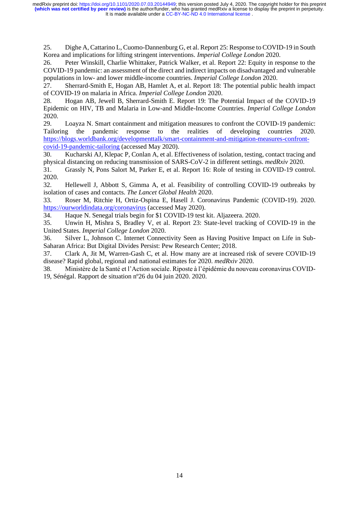25. Dighe A, Cattarino L, Cuomo-Dannenburg G, et al. Report 25: Response to COVID-19 in South Korea and implications for lifting stringent interventions. *Imperial College London* 2020.

26. Peter Winskill, Charlie Whittaker, Patrick Walker, et al. Report 22: Equity in response to the COVID-19 pandemic: an assessment of the direct and indirect impacts on disadvantaged and vulnerable populations in low- and lower middle-income countries. *Imperial College London* 2020.

27. Sherrard-Smith E, Hogan AB, Hamlet A, et al. Report 18: The potential public health impact of COVID-19 on malaria in Africa. *Imperial College London* 2020.

28. Hogan AB, Jewell B, Sherrard-Smith E. Report 19: The Potential Impact of the COVID-19 Epidemic on HIV, TB and Malaria in Low-and Middle-Income Countries. *Imperial College London* 2020.

29. Loayza N. Smart containment and mitigation measures to confront the COVID-19 pandemic: Tailoring the pandemic response to the realities of developing countries 2020. [https://blogs.worldbank.org/developmenttalk/smart-containment-and-mitigation-measures-confront](https://blogs.worldbank.org/developmenttalk/smart-containment-and-mitigation-measures-confront-covid-19-pandemic-tailoring)[covid-19-pandemic-tailoring](https://blogs.worldbank.org/developmenttalk/smart-containment-and-mitigation-measures-confront-covid-19-pandemic-tailoring) (accessed May 2020).

30. Kucharski AJ, Klepac P, Conlan A, et al. Effectiveness of isolation, testing, contact tracing and physical distancing on reducing transmission of SARS-CoV-2 in different settings. *medRxiv* 2020.

31. Grassly N, Pons Salort M, Parker E, et al. Report 16: Role of testing in COVID-19 control. 2020.

32. Hellewell J, Abbott S, Gimma A, et al. Feasibility of controlling COVID-19 outbreaks by isolation of cases and contacts. *The Lancet Global Health* 2020.

33. Roser M, Ritchie H, Ortiz-Ospina E, Hasell J. Coronavirus Pandemic (COVID-19). 2020. <https://ourworldindata.org/coronavirus> (accessed May 2020).

34. Haque N. Senegal trials begin for \$1 COVID-19 test kit. Aljazeera. 2020.

35. Unwin H, Mishra S, Bradley V, et al. Report 23: State-level tracking of COVID-19 in the United States. *Imperial College London* 2020.

36. Silver L, Johnson C. Internet Connectivity Seen as Having Positive Impact on Life in Sub-Saharan Africa: But Digital Divides Persist: Pew Research Center; 2018.

37. Clark A, Jit M, Warren-Gash C, et al. How many are at increased risk of severe COVID-19 disease? Rapid global, regional and national estimates for 2020. *medRxiv* 2020.

38. Ministère de la Santé et l'Action sociale. Riposte à l'épidémie du nouveau coronavirus COVID-19, Sénégal. Rapport de situation nº26 du 04 juin 2020. 2020.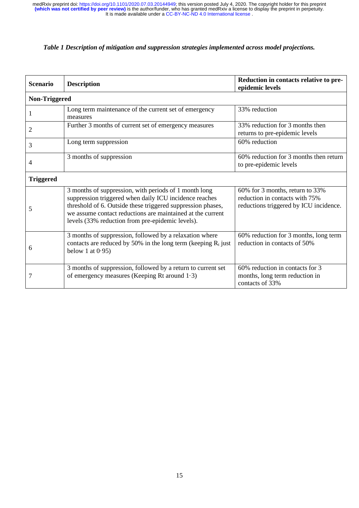### *Table 1 Description of mitigation and suppression strategies implemented across model projections.*

| <b>Scenario</b>  | <b>Description</b>                                                                                                                                                                                                                                                                               | Reduction in contacts relative to pre-<br>epidemic levels                                                   |  |  |  |  |  |  |
|------------------|--------------------------------------------------------------------------------------------------------------------------------------------------------------------------------------------------------------------------------------------------------------------------------------------------|-------------------------------------------------------------------------------------------------------------|--|--|--|--|--|--|
| Non-Triggered    |                                                                                                                                                                                                                                                                                                  |                                                                                                             |  |  |  |  |  |  |
| 1                | Long term maintenance of the current set of emergency<br>measures                                                                                                                                                                                                                                | 33% reduction                                                                                               |  |  |  |  |  |  |
| 2                | Further 3 months of current set of emergency measures                                                                                                                                                                                                                                            | 33% reduction for 3 months then<br>returns to pre-epidemic levels                                           |  |  |  |  |  |  |
| 3                | Long term suppression                                                                                                                                                                                                                                                                            | 60% reduction                                                                                               |  |  |  |  |  |  |
| 4                | 3 months of suppression                                                                                                                                                                                                                                                                          | 60% reduction for 3 months then return<br>to pre-epidemic levels                                            |  |  |  |  |  |  |
| <b>Triggered</b> |                                                                                                                                                                                                                                                                                                  |                                                                                                             |  |  |  |  |  |  |
| 5                | 3 months of suppression, with periods of 1 month long<br>suppression triggered when daily ICU incidence reaches<br>threshold of 6. Outside these triggered suppression phases,<br>we assume contact reductions are maintained at the current<br>levels (33% reduction from pre-epidemic levels). | 60% for 3 months, return to 33%<br>reduction in contacts with 75%<br>reductions triggered by ICU incidence. |  |  |  |  |  |  |
| 6                | 3 months of suppression, followed by a relaxation where<br>contacts are reduced by 50% in the long term (keeping $R_t$ just<br>below 1 at $0.95$ )                                                                                                                                               | 60% reduction for 3 months, long term<br>reduction in contacts of 50%                                       |  |  |  |  |  |  |
| 7                | 3 months of suppression, followed by a return to current set<br>of emergency measures (Keeping Rt around 1.3)                                                                                                                                                                                    | 60% reduction in contacts for 3<br>months, long term reduction in<br>contacts of 33%                        |  |  |  |  |  |  |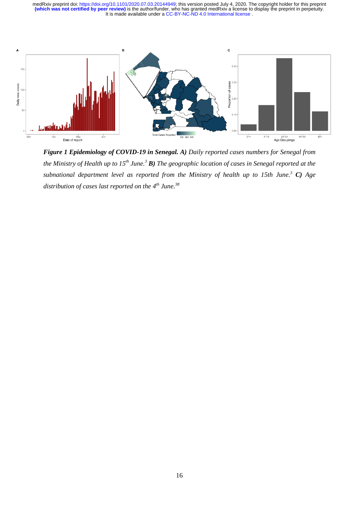

*Figure 1 Epidemiology of COVID-19 in Senegal. A) Daily reported cases numbers for Senegal from the Ministry of Health up to 15th June. <sup>3</sup> B) The geographic location of cases in Senegal reported at the subnational department level as reported from the Ministry of health up to 15th June. <sup>3</sup> C) Age distribution of cases last reported on the 4 th June. 38*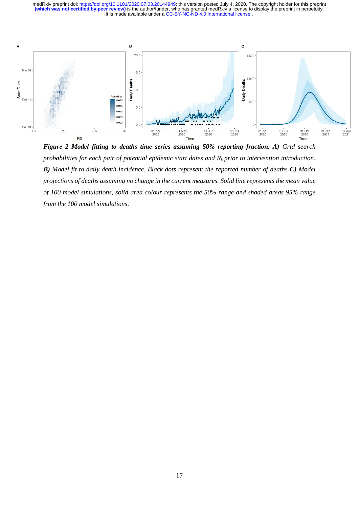

*Figure 2 Model fitting to deaths time series assuming 50% reporting fraction. A) Grid search probabilities for each pair of potential epidemic start dates and R0 prior to intervention introduction. B) Model fit to daily death incidence. Black dots represent the reported number of deaths C) Model projections of deaths assuming no change in the current measures. Solid line represents the mean value of 100 model simulations, solid area colour represents the 50% range and shaded areas 95% range from the 100 model simulations.*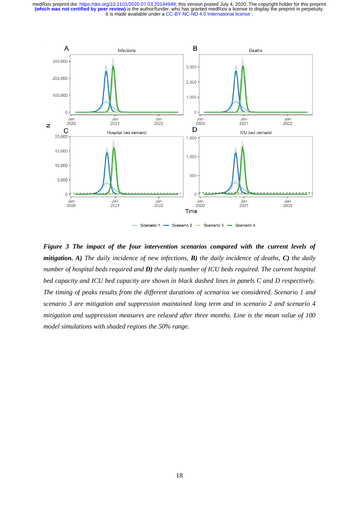

Scenario 2  $-$ Scenario 3 Scenario 1 Scenario 4

*Figure 3 The impact of the four intervention scenarios compared with the current levels of mitigation. A) The daily incidence of new infections, B) the daily incidence of deaths, C) the daily number of hospital beds required and D) the daily number of ICU beds required. The current hospital bed capacity and ICU bed capacity are shown in black dashed lines in panels C and D respectively. The timing of peaks results from the different durations of scenarios we considered. Scenario 1 and scenario 3 are mitigation and suppression maintained long term and in scenario 2 and scenario 4 mitigation and suppression measures are relaxed after three months. Line is the mean value of 100 model simulations with shaded regions the 50% range.*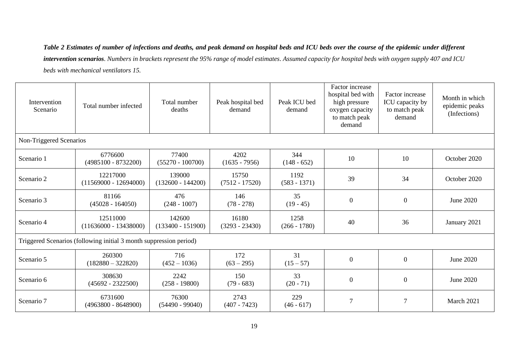*Table 2 Estimates of number of infections and deaths, and peak demand on hospital beds and ICU beds over the course of the epidemic under different intervention scenarios. Numbers in brackets represent the 95% range of model estimates. Assumed capacity for hospital beds with oxygen supply 407 and ICU beds with mechanical ventilators 15.* 

| Intervention<br>Scenario                                           | Total number infected               | Total number<br>deaths        | Peak hospital bed<br>demand | Peak ICU bed<br>demand | Factor increase<br>hospital bed with<br>high pressure<br>oxygen capacity<br>to match peak<br>demand | Factor increase<br>ICU capacity by<br>to match peak<br>demand | Month in which<br>epidemic peaks<br>(Infections) |  |  |
|--------------------------------------------------------------------|-------------------------------------|-------------------------------|-----------------------------|------------------------|-----------------------------------------------------------------------------------------------------|---------------------------------------------------------------|--------------------------------------------------|--|--|
| Non-Triggered Scenarios                                            |                                     |                               |                             |                        |                                                                                                     |                                                               |                                                  |  |  |
| Scenario 1                                                         | 6776600<br>$(4985100 - 8732200)$    | 77400<br>$(55270 - 100700)$   | 4202<br>$(1635 - 7956)$     | 344<br>$(148 - 652)$   | 10                                                                                                  | 10                                                            | October 2020                                     |  |  |
| Scenario 2                                                         | 12217000<br>$(11569000 - 12694000)$ | 139000<br>$(132600 - 144200)$ | 15750<br>$(7512 - 17520)$   | 1192<br>$(583 - 1371)$ | 39                                                                                                  | 34                                                            | October 2020                                     |  |  |
| Scenario 3                                                         | 81166<br>$(45028 - 164050)$         | 476<br>$(248 - 1007)$         | 146<br>$(78 - 278)$         | 35<br>$(19 - 45)$      | $\mathbf{0}$                                                                                        | $\overline{0}$                                                | June 2020                                        |  |  |
| Scenario 4                                                         | 12511000<br>$(11636000 - 13438000)$ | 142600<br>$(133400 - 151900)$ | 16180<br>$(3293 - 23430)$   | 1258<br>$(266 - 1780)$ | 40                                                                                                  | 36                                                            | January 2021                                     |  |  |
| Triggered Scenarios (following initial 3 month suppression period) |                                     |                               |                             |                        |                                                                                                     |                                                               |                                                  |  |  |
| Scenario 5                                                         | 260300<br>$(182880 - 322820)$       | 716<br>$(452 - 1036)$         | 172<br>$(63 - 295)$         | 31<br>$(15 - 57)$      | $\boldsymbol{0}$                                                                                    | $\overline{0}$                                                | June 2020                                        |  |  |
| Scenario 6                                                         | 308630<br>$(45692 - 2322500)$       | 2242<br>$(258 - 19800)$       | 150<br>$(79 - 683)$         | 33<br>$(20 - 71)$      | $\boldsymbol{0}$                                                                                    | $\overline{0}$                                                | June 2020                                        |  |  |
| Scenario 7                                                         | 6731600<br>$(4963800 - 8648900)$    | 76300<br>$(54490 - 99040)$    | 2743<br>$(407 - 7423)$      | 229<br>$(46 - 617)$    | $\overline{7}$                                                                                      | 7                                                             | March 2021                                       |  |  |